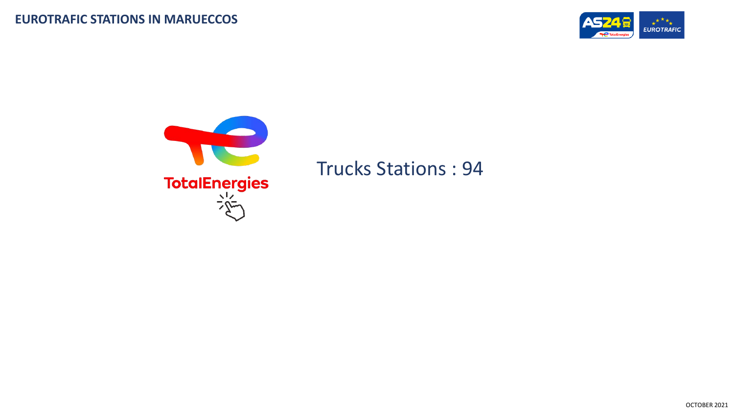



## Trucks Stations : 94

OCTOBER 2021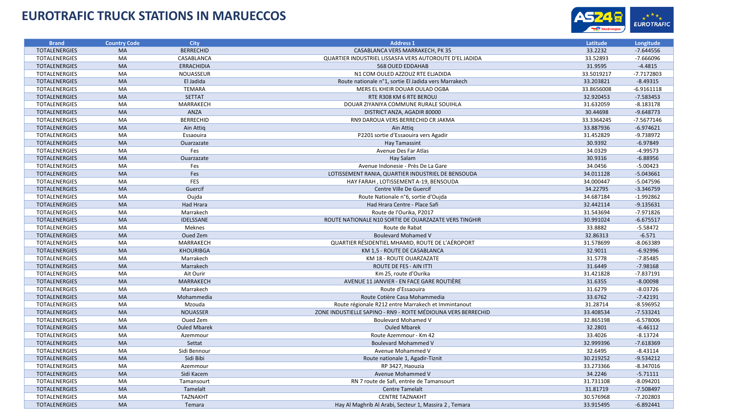## **EUROTRAFIC TRUCK STATIONS IN MARUECCOS**



| <b>Brand</b>         | <b>Country Code</b> | <b>City</b>         | <b>Address 1</b>                                              | Latitude   | Longitude    |
|----------------------|---------------------|---------------------|---------------------------------------------------------------|------------|--------------|
| <b>TOTALENERGIES</b> | <b>MA</b>           | <b>BERRECHID</b>    | CASABLANCA VERS MARRAKECH, PK 35                              | 33.2232    | $-7.644556$  |
| <b>TOTALENERGIES</b> | MA                  | CASABLANCA          | QUARTIER INDUSTRIEL LISSASFA VERS AUTOROUTE D'EL JADIDA       | 33.52893   | $-7.666096$  |
| <b>TOTALENERGIES</b> | <b>MA</b>           | <b>ERRACHIDIA</b>   | 568 OUED EDDAHAB                                              | 31.9595    | $-4.4815$    |
| <b>TOTALENERGIES</b> | MA                  | NOUASSEUR           | N1 COM OULED AZZOUZ RTE ELJADIDA                              | 33.5019217 | -7.7172803   |
| <b>TOTALENERGIES</b> | <b>MA</b>           | El Jadida           | Route nationale n°1, sortie El Jadida vers Marrakech          | 33.203821  | $-8.49315$   |
| <b>TOTALENERGIES</b> | MA                  | <b>TEMARA</b>       | MERS EL KHEIR DOUAR OULAD OGBA                                | 33.8656008 | $-6.9161118$ |
| <b>TOTALENERGIES</b> | <b>MA</b>           | <b>SETTAT</b>       | RTE R308 KM 6 RTE BEROUJ                                      | 32.920453  | $-7.583453$  |
| <b>TOTALENERGIES</b> | MA                  | MARRAKECH           | DOUAR ZIYANIYA COMMUNE RURALE SOUIHLA                         | 31.632059  | $-8.183178$  |
| <b>TOTALENERGIES</b> | <b>MA</b>           | <b>ANZA</b>         | DISTRICT ANZA, AGADIR 80000                                   | 30.44698   | $-9.648773$  |
| <b>TOTALENERGIES</b> | MA                  | <b>BERRECHID</b>    | RN9 DAROUA VERS BERRECHID CR JAKMA                            | 33.3364245 | $-7.5677146$ |
| <b>TOTALENERGIES</b> | MA                  | Ain Attig           | Ain Attig                                                     | 33.887936  | $-6.974621$  |
| <b>TOTALENERGIES</b> | MA                  | Essaouira           | P2201 sortie d'Essaouira vers Agadir                          | 31.452829  | $-9.738972$  |
| <b>TOTALENERGIES</b> | <b>MA</b>           | Ouarzazate          | Hay Tamassint                                                 | 30.9392    | $-6.97849$   |
| <b>TOTALENERGIES</b> | MA                  | Fes                 | Avenue Des Far Atlas                                          | 34.0329    | $-4.99573$   |
| <b>TOTALENERGIES</b> | <b>MA</b>           | Ouarzazate          | Hay Salam                                                     | 30.9316    | $-6.88956$   |
| <b>TOTALENERGIES</b> | MA                  | Fes                 | Avenue Indonesie - Près De La Gare                            | 34.0456    | $-5.00423$   |
| <b>TOTALENERGIES</b> | MA                  | Fes                 | LOTISSEMENT RANIA, QUARTIER INDUSTRIEL DE BENSOUDA            | 34.011128  | $-5.043661$  |
| <b>TOTALENERGIES</b> | MA                  | FES                 | HAY FARAH, LOTISSEMENT A-19, BENSOUDA                         | 34.000447  | $-5.047596$  |
| <b>TOTALENERGIES</b> | MA                  | Guercif             | Centre Ville De Guercif                                       | 34.22795   | $-3.346759$  |
| <b>TOTALENERGIES</b> | MA                  | Oujda               | Route Nationale n°6, sortie d'Oujda                           | 34.687184  | $-1.992862$  |
| <b>TOTALENERGIES</b> | <b>MA</b>           | <b>Had Hrara</b>    | Had Hrara Centre - Place Safi                                 | 32.442114  | $-9.135631$  |
| <b>TOTALENERGIES</b> | MA                  | Marrakech           | Route de l'Ourika, P2017                                      | 31.543694  | $-7.971826$  |
| <b>TOTALENERGIES</b> | <b>MA</b>           | IDELSSANE           | ROUTE NATIONALE N10 SORTIE DE OUARZAZATE VERS TINGHIR         | 30.991024  | $-6.675517$  |
| <b>TOTALENERGIES</b> | MA                  | <b>Meknes</b>       | Route de Rabat                                                | 33.8882    | $-5.58472$   |
| <b>TOTALENERGIES</b> | MA                  | Oued Zem            | <b>Boulevard Mohamed V</b>                                    | 32.86313   | $-6.571$     |
| TOTALENERGIES        | <b>MA</b>           | MARRAKECH           | QUARTIER RÉSIDENTIEL MHAMID, ROUTE DE L'AÉROPORT              | 31.578699  | $-8.063389$  |
| <b>TOTALENERGIES</b> | MA                  | <b>KHOURIBGA</b>    | KM 1,5 - ROUTE DE CASABLANCA                                  | 32.9011    | $-6.92996$   |
| <b>TOTALENERGIES</b> | MA                  | Marrakech           | KM 18 - ROUTE OUARZAZATE                                      | 31.5778    | $-7.85485$   |
| <b>TOTALENERGIES</b> | <b>MA</b>           | Marrakech           | ROUTE DE FES - AIN ITTI                                       | 31.6449    | $-7.98168$   |
| <b>TOTALENERGIES</b> | MA                  | Ait Ourir           | Km 25, route d'Ourika                                         | 31.421828  | $-7.837191$  |
| <b>TOTALENERGIES</b> | MA                  | <b>MARRAKECH</b>    | AVENUE 11 JANVIER - EN FACE GARE ROUTIÈRE                     | 31.6355    | $-8.00098$   |
| <b>TOTALENERGIES</b> | MA                  | Marrakech           | Route d'Essaouira                                             | 31.6279    | $-8.03726$   |
| <b>TOTALENERGIES</b> | MA                  | Mohammedia          | Route Cotière Casa Mohammedia                                 | 33.6762    | $-7.42191$   |
| <b>TOTALENERGIES</b> | <b>MA</b>           | Mzouda              | Route régionale R212 entre Marrakech et Immintanout           | 31.28714   | $-8.596952$  |
| <b>TOTALENERGIES</b> | MA                  | <b>NOUASSER</b>     | ZONE INDUSTIELLE SAPINO - RN9 - ROITE MÉDIOUNA VERS BERRECHID | 33.408534  | $-7.533241$  |
| <b>TOTALENERGIES</b> | MA                  | Oued Zem            | <b>Boulevard Mohamed V</b>                                    | 32.865198  | $-6.578006$  |
| <b>TOTALENERGIES</b> | <b>MA</b>           | <b>Ouled Mbarek</b> | <b>Ouled Mbarek</b>                                           | 32.2801    | $-6.46112$   |
| <b>TOTALENERGIES</b> | MA                  | Azemmour            | Route Azemmour - Km 42                                        | 33.4026    | $-8.13724$   |
| <b>TOTALENERGIES</b> | <b>MA</b>           | Settat              | <b>Boulevard Mohammed V</b>                                   | 32.999396  | $-7.618369$  |
| <b>TOTALENERGIES</b> | MA                  | Sidi Bennour        | Avenue Mohammed V                                             | 32.6495    | $-8.43114$   |
| <b>TOTALENERGIES</b> | MA                  | Sidi Bibi           | Route nationale 1, Agadir-Tiznit                              | 30.219252  | $-9.534212$  |
| <b>TOTALENERGIES</b> | MA                  | Azemmour            | RP 3427, Haouzia                                              | 33.273366  | $-8.347016$  |
| <b>TOTALENERGIES</b> | MA                  | Sidi Kacem          | Avenue Mohammed V                                             | 34.2246    | $-5.71111$   |
| TOTALENERGIES        | MA                  | Tamansourt          | RN 7 route de Safi, entrée de Tamansourt                      | 31.731108  | $-8.094201$  |
| <b>TOTALENERGIES</b> | <b>MA</b>           | Tamelalt            | <b>Centre Tamelalt</b>                                        | 31.81719   | $-7.508497$  |
| <b>TOTALENERGIES</b> | <b>MA</b>           | <b>TAZNAKHT</b>     | <b>CENTRE TAZNAKHT</b>                                        | 30.576968  | $-7.202803$  |
| <b>TOTALENERGIES</b> | <b>MA</b>           | Temara              | Hay Al Maghrib Al Arabi, Secteur 1, Massira 2, Temara         | 33.915495  | $-6.892441$  |